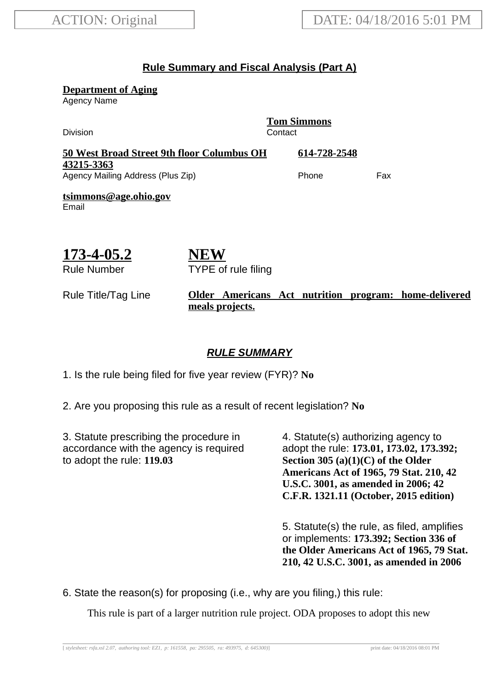#### **Rule Summary and Fiscal Analysis (Part A)**

**Department of Aging**

Agency Name

**Tom Simmons** Division **Contact 50 West Broad Street 9th floor Columbus OH 43215-3363 614-728-2548** Agency Mailing Address (Plus Zip) example and the Phone Fax **tsimmons@age.ohio.gov** Email

TYPE of rule filing

**NEW**

# **173-4-05.2**

Rule Number

#### Rule Title/Tag Line **Older Americans Act nutrition program: home-delivered meals projects.**

#### **RULE SUMMARY**

1. Is the rule being filed for five year review (FYR)? **No**

2. Are you proposing this rule as a result of recent legislation? **No**

3. Statute prescribing the procedure in accordance with the agency is required to adopt the rule: **119.03**

4. Statute(s) authorizing agency to adopt the rule: **173.01, 173.02, 173.392; Section 305 (a)(1)(C) of the Older Americans Act of 1965, 79 Stat. 210, 42 U.S.C. 3001, as amended in 2006; 42 C.F.R. 1321.11 (October, 2015 edition)**

5. Statute(s) the rule, as filed, amplifies or implements: **173.392; Section 336 of the Older Americans Act of 1965, 79 Stat. 210, 42 U.S.C. 3001, as amended in 2006**

6. State the reason(s) for proposing (i.e., why are you filing,) this rule:

This rule is part of a larger nutrition rule project. ODA proposes to adopt this new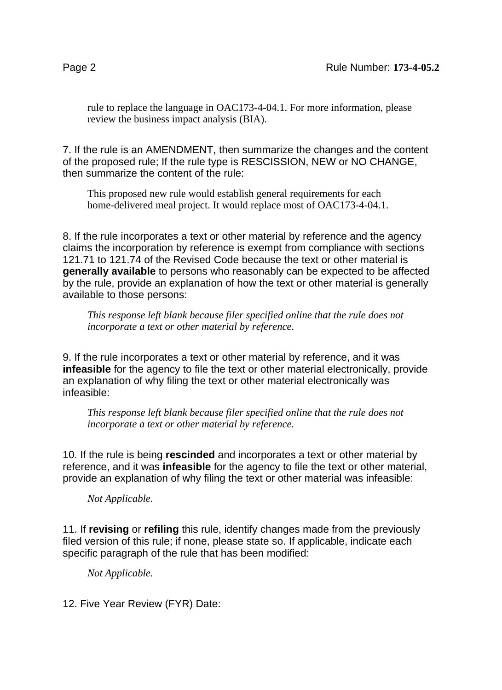rule to replace the language in OAC173-4-04.1. For more information, please review the business impact analysis (BIA).

7. If the rule is an AMENDMENT, then summarize the changes and the content of the proposed rule; If the rule type is RESCISSION, NEW or NO CHANGE, then summarize the content of the rule:

This proposed new rule would establish general requirements for each home-delivered meal project. It would replace most of OAC173-4-04.1.

8. If the rule incorporates a text or other material by reference and the agency claims the incorporation by reference is exempt from compliance with sections 121.71 to 121.74 of the Revised Code because the text or other material is **generally available** to persons who reasonably can be expected to be affected by the rule, provide an explanation of how the text or other material is generally available to those persons:

*This response left blank because filer specified online that the rule does not incorporate a text or other material by reference.*

9. If the rule incorporates a text or other material by reference, and it was **infeasible** for the agency to file the text or other material electronically, provide an explanation of why filing the text or other material electronically was infeasible:

*This response left blank because filer specified online that the rule does not incorporate a text or other material by reference.*

10. If the rule is being **rescinded** and incorporates a text or other material by reference, and it was **infeasible** for the agency to file the text or other material, provide an explanation of why filing the text or other material was infeasible:

*Not Applicable.*

11. If **revising** or **refiling** this rule, identify changes made from the previously filed version of this rule; if none, please state so. If applicable, indicate each specific paragraph of the rule that has been modified:

*Not Applicable.*

12. Five Year Review (FYR) Date: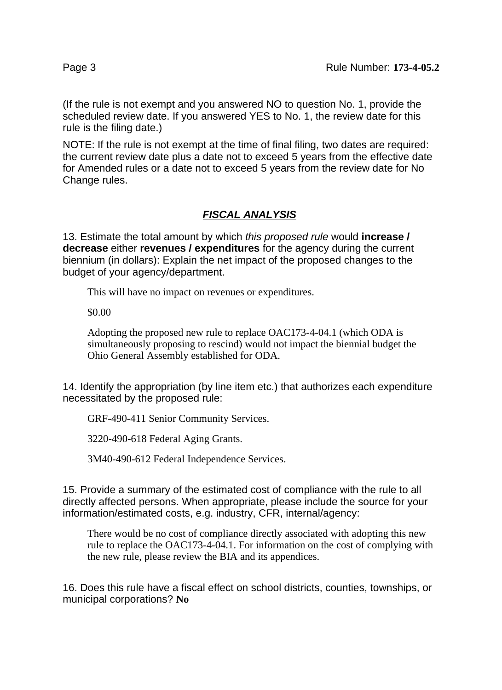(If the rule is not exempt and you answered NO to question No. 1, provide the scheduled review date. If you answered YES to No. 1, the review date for this rule is the filing date.)

NOTE: If the rule is not exempt at the time of final filing, two dates are required: the current review date plus a date not to exceed 5 years from the effective date for Amended rules or a date not to exceed 5 years from the review date for No Change rules.

## **FISCAL ANALYSIS**

13. Estimate the total amount by which this proposed rule would **increase / decrease** either **revenues / expenditures** for the agency during the current biennium (in dollars): Explain the net impact of the proposed changes to the budget of your agency/department.

This will have no impact on revenues or expenditures.

\$0.00

Adopting the proposed new rule to replace OAC173-4-04.1 (which ODA is simultaneously proposing to rescind) would not impact the biennial budget the Ohio General Assembly established for ODA.

14. Identify the appropriation (by line item etc.) that authorizes each expenditure necessitated by the proposed rule:

GRF-490-411 Senior Community Services.

3220-490-618 Federal Aging Grants.

3M40-490-612 Federal Independence Services.

15. Provide a summary of the estimated cost of compliance with the rule to all directly affected persons. When appropriate, please include the source for your information/estimated costs, e.g. industry, CFR, internal/agency:

There would be no cost of compliance directly associated with adopting this new rule to replace the OAC173-4-04.1. For information on the cost of complying with the new rule, please review the BIA and its appendices.

16. Does this rule have a fiscal effect on school districts, counties, townships, or municipal corporations? **No**